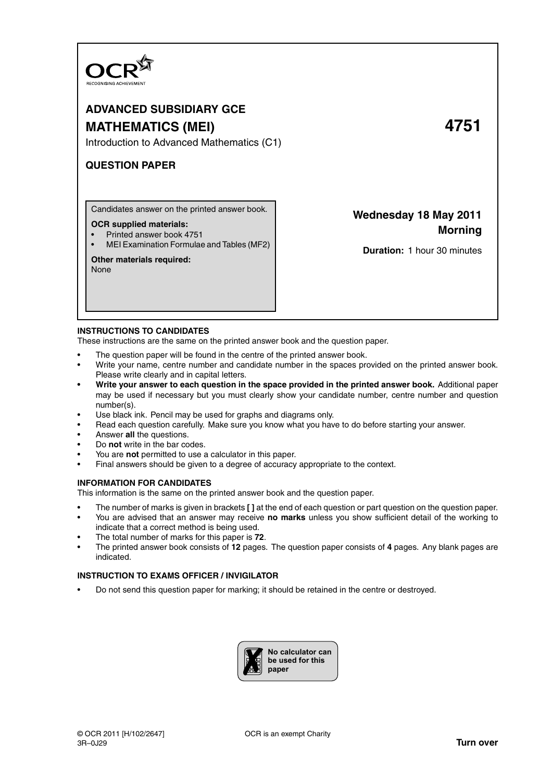

# **ADVANCED SUBSIDIARY GCE MATHEMATICS (MEI) 4751**

Introduction to Advanced Mathematics (C1)

## **QUESTION PAPER**

Candidates answer on the printed answer book.

#### **OCR supplied materials:**

- Printed answer book 4751
- MEI Examination Formulae and Tables (MF2)

## **Other materials required:**

None

## **Wednesday 18 May 2011 Morning**

**Duration:** 1 hour 30 minutes

### **INSTRUCTIONS TO CANDIDATES**

These instructions are the same on the printed answer book and the question paper.

- The question paper will be found in the centre of the printed answer book.
- Write your name, centre number and candidate number in the spaces provided on the printed answer book. Please write clearly and in capital letters.
- **Write your answer to each question in the space provided in the printed answer book.** Additional paper may be used if necessary but you must clearly show your candidate number, centre number and question number(s).
- Use black ink. Pencil may be used for graphs and diagrams only.
- Read each question carefully. Make sure you know what you have to do before starting your answer.
- Answer **all** the questions.
- Do **not** write in the bar codes.
- You are **not** permitted to use a calculator in this paper.
- Final answers should be given to a degree of accuracy appropriate to the context.

#### **INFORMATION FOR CANDIDATES**

This information is the same on the printed answer book and the question paper.

- The number of marks is given in brackets **[ ]** at the end of each question or part question on the question paper.
- You are advised that an answer may receive **no marks** unless you show sufficient detail of the working to indicate that a correct method is being used.
- The total number of marks for this paper is **72**.
- The printed answer book consists of **12** pages. The question paper consists of **4** pages. Any blank pages are indicated.

## **INSTRUCTION TO EXAMS OFFICER / INVIGILATOR**

• Do not send this question paper for marking; it should be retained in the centre or destroyed.

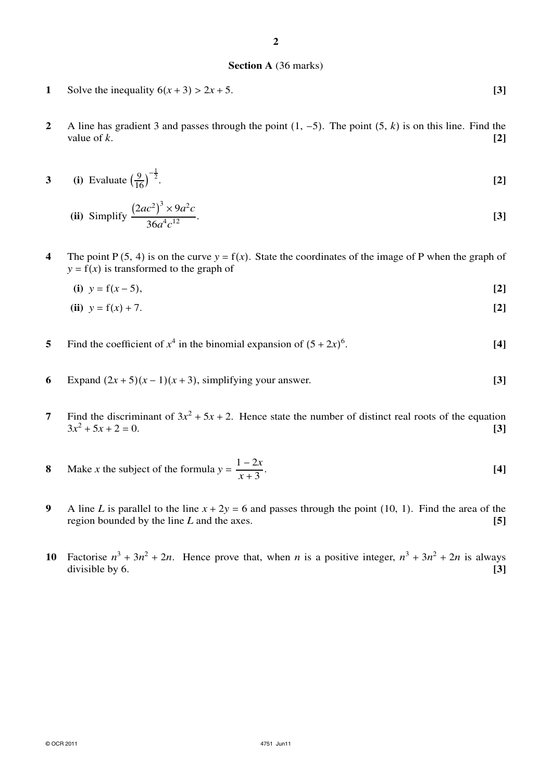#### **Section A** (36 marks)

- **1** Solve the inequality  $6(x + 3) > 2x + 5$ . [3]
- **2** A line has gradient 3 and passes through the point (1, −5). The point (5, *k*) is on this line. Find the value of  $k$ .  $[2]$
- **3** (i) Evaluate  $\left(\frac{9}{16}\right)$  $-\frac{1}{2}$ . **[2]**

(ii) Simplify 
$$
\frac{(2ac^2)^3 \times 9a^2c}{36a^4c^{12}}
$$
. [3]

**4** The point  $P(5, 4)$  is on the curve  $y = f(x)$ . State the coordinates of the image of P when the graph of  $y = f(x)$  is transformed to the graph of

**(i)**  $y = f(x-5)$ , **[2]** 

(ii) 
$$
y = f(x) + 7
$$
. [2]

- **5** Find the coefficient of  $x^4$  in the binomial expansion of  $(5+2x)^6$ . **[4]**
- **6** Expand  $(2x+5)(x-1)(x+3)$ , simplifying your answer. **[3]**
- **7** Find the discriminant of  $3x^2 + 5x + 2$ . Hence state the number of distinct real roots of the equation  $3x^2 + 5x + 2 = 0.$  [3]
- **8** Make *x* the subject of the formula  $y = \frac{1-2x}{x^2}$ *x* + 3 . **[4]**
- **9** A line *L* is parallel to the line  $x + 2y = 6$  and passes through the point (10, 1). Find the area of the region bounded by the line *L* and the axes. **[5]**
- **10** Factorise  $n^3 + 3n^2 + 2n$ . Hence prove that, when *n* is a positive integer,  $n^3 + 3n^2 + 2n$  is always divisible by 6. **[3]**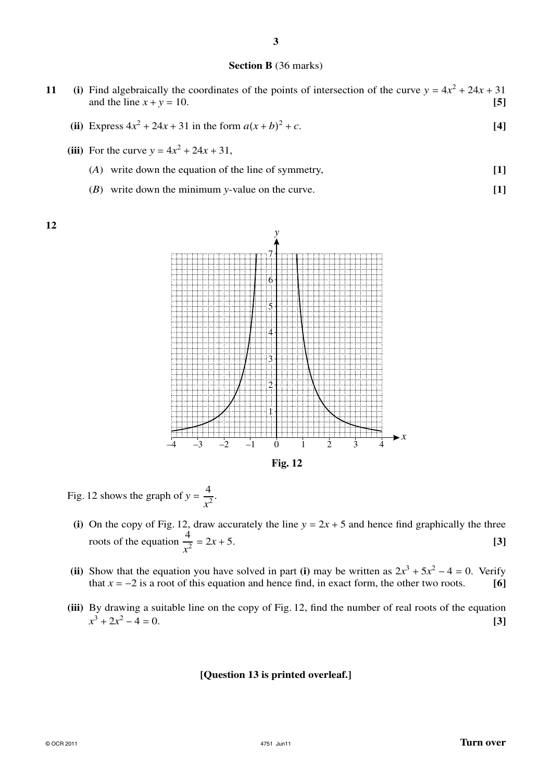### **Section B** (36 marks)

- **11** (i) Find algebraically the coordinates of the points of intersection of the curve  $y = 4x^2 + 24x + 31$ and the line  $x + y = 10$ . [5] **(ii)** Express  $4x^2 + 24x + 31$  in the form  $a(x + b)$  $2^2 + c$ . **[4]** (iii) For the curve  $y = 4x^2 + 24x + 31$ ,
	- (*A*) write down the equation of the line of symmetry, **[1]**
	- (*B*) write down the minimum *y*-value on the curve. **[1]**

**12**



Fig. 12 shows the graph of  $y = \frac{4}{3}$  $\frac{1}{x^2}$ .

- (i) On the copy of Fig. 12, draw accurately the line  $y = 2x + 5$  and hence find graphically the three roots of the equation  $\frac{4}{5}$  $\frac{1}{x^2} = 2x + 5.$  **[3]**
- **(ii)** Show that the equation you have solved in part **(i)** may be written as  $2x^3 + 5x^2 4 = 0$ . Verify that  $x = -2$  is a root of this equation and hence find, in exact form, the other two roots. **[6]**
- **(iii)** By drawing a suitable line on the copy of Fig. 12, find the number of real roots of the equation  $x^3 + 2x$  $2^2 - 4 = 0.$  **[3]**

#### **[Question 13 is printed overleaf.]**